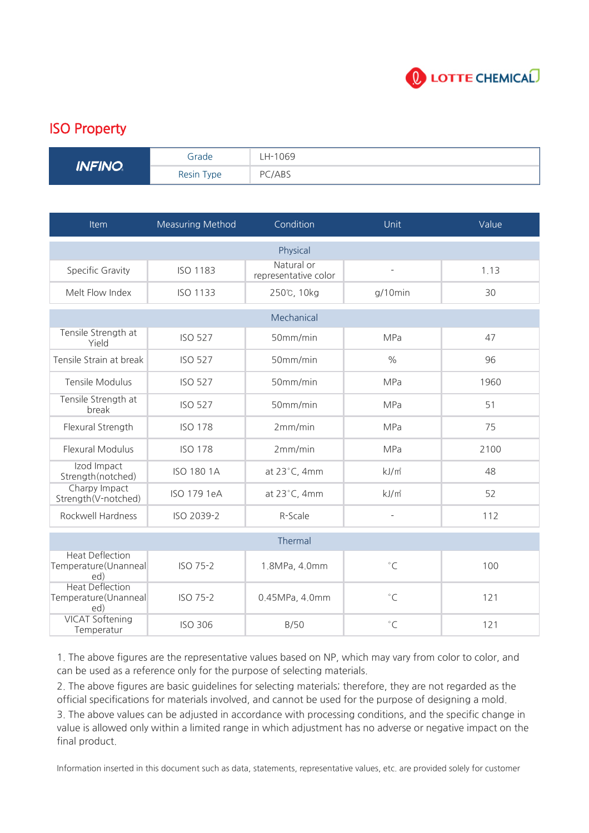

## ISO Property

| <b>INFINO</b> | Grade      | LH-1069 |
|---------------|------------|---------|
|               | Resin Type | PC/ABS  |

| Item                                                  | <b>Measuring Method</b> | Condition                          | Unit                | Value |  |  |
|-------------------------------------------------------|-------------------------|------------------------------------|---------------------|-------|--|--|
| Physical                                              |                         |                                    |                     |       |  |  |
| Specific Gravity                                      | <b>ISO 1183</b>         | Natural or<br>representative color | ÷,                  | 1.13  |  |  |
| Melt Flow Index                                       | <b>ISO 1133</b>         | 250℃, 10kg                         | $g/10$ min          | 30    |  |  |
| Mechanical                                            |                         |                                    |                     |       |  |  |
| Tensile Strength at<br>Yield                          | <b>ISO 527</b>          | 50mm/min                           | <b>MPa</b>          | 47    |  |  |
| Tensile Strain at break                               | <b>ISO 527</b>          | 50mm/min                           | $\frac{0}{0}$       | 96    |  |  |
| <b>Tensile Modulus</b>                                | <b>ISO 527</b>          | 50mm/min                           | MPa                 | 1960  |  |  |
| Tensile Strength at<br>break                          | <b>ISO 527</b>          | 50mm/min                           | <b>MPa</b>          | 51    |  |  |
| Flexural Strength                                     | <b>ISO 178</b>          | 2mm/min                            | MPa                 | 75    |  |  |
| <b>Flexural Modulus</b>                               | <b>ISO 178</b>          | 2mm/min                            | MPa                 | 2100  |  |  |
| Izod Impact<br>Strength(notched)                      | <b>ISO 180 1A</b>       | at 23°C, 4mm                       | kJ/m <sup>2</sup>   | 48    |  |  |
| Charpy Impact<br>Strength(V-notched)                  | ISO 179 1eA             | at 23°C, 4mm                       | kJ/m <sup>2</sup>   | 52    |  |  |
| Rockwell Hardness                                     | ISO 2039-2              | R-Scale                            | $\bar{\phantom{a}}$ | 112   |  |  |
| Thermal                                               |                         |                                    |                     |       |  |  |
| <b>Heat Deflection</b><br>Temperature(Unanneal<br>ed) | ISO 75-2                | 1.8MPa, 4.0mm                      | $^{\circ}$ C        | 100   |  |  |
| <b>Heat Deflection</b><br>Temperature(Unanneal<br>ed) | ISO 75-2                | 0.45MPa, 4.0mm                     | $^{\circ}$ C        | 121   |  |  |
| <b>VICAT Softening</b><br>Temperatur                  | <b>ISO 306</b>          | B/50                               | $\degree$ C         | 121   |  |  |

1. The above figures are the representative values based on NP, which may vary from color to color, and can be used as a reference only for the purpose of selecting materials.

2. The above figures are basic guidelines for selecting materials; therefore, they are not regarded as the official specifications for materials involved, and cannot be used for the purpose of designing a mold.

3. The above values can be adjusted in accordance with processing conditions, and the specific change in value is allowed only within a limited range in which adjustment has no adverse or negative impact on the final product.

Information inserted in this document such as data, statements, representative values, etc. are provided solely for customer